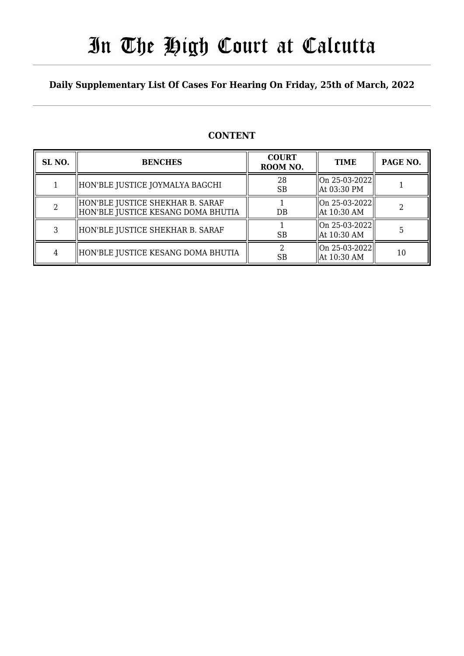# In The High Court at Calcutta

### **Daily Supplementary List Of Cases For Hearing On Friday, 25th of March, 2022**

### **CONTENT**

| SL <sub>NO</sub> . | <b>BENCHES</b>                                                           | <b>COURT</b><br>ROOM NO. | <b>TIME</b>                  | PAGE NO. |
|--------------------|--------------------------------------------------------------------------|--------------------------|------------------------------|----------|
|                    | HON'BLE JUSTICE JOYMALYA BAGCHI                                          | 28<br><b>SB</b>          | On 25-03-2022<br>At 03:30 PM |          |
|                    | HON'BLE JUSTICE SHEKHAR B. SARAF<br>  HON'BLE JUSTICE KESANG DOMA BHUTIA | $DB$                     | On 25-03-2022<br>At 10:30 AM |          |
|                    | HON'BLE JUSTICE SHEKHAR B. SARAF                                         | <b>SB</b>                | On 25-03-2022<br>At 10:30 AM |          |
| 4                  | HON'BLE JUSTICE KESANG DOMA BHUTIA                                       | <b>SB</b>                | On 25-03-2022<br>At 10:30 AM | 10       |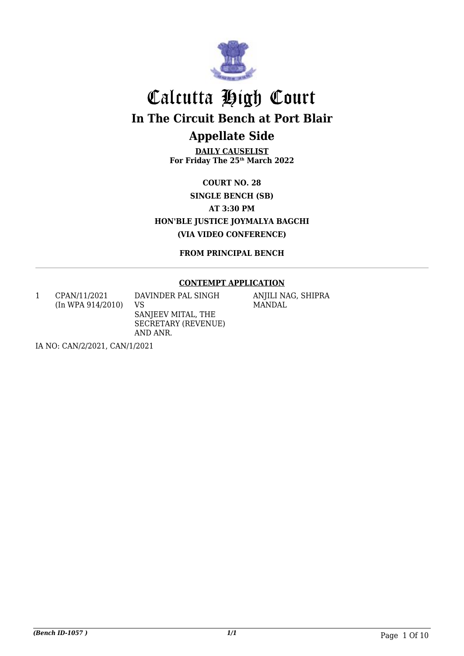

# Calcutta High Court **In The Circuit Bench at Port Blair Appellate Side**

**DAILY CAUSELIST For Friday The 25th March 2022**

**COURT NO. 28 SINGLE BENCH (SB) AT 3:30 PM HON'BLE JUSTICE JOYMALYA BAGCHI (VIA VIDEO CONFERENCE)**

**FROM PRINCIPAL BENCH**

### **CONTEMPT APPLICATION**

1 CPAN/11/2021 (In WPA 914/2010) DAVINDER PAL SINGH VS SANJEEV MITAL, THE SECRETARY (REVENUE) AND ANR.

ANJILI NAG, SHIPRA MANDAL

IA NO: CAN/2/2021, CAN/1/2021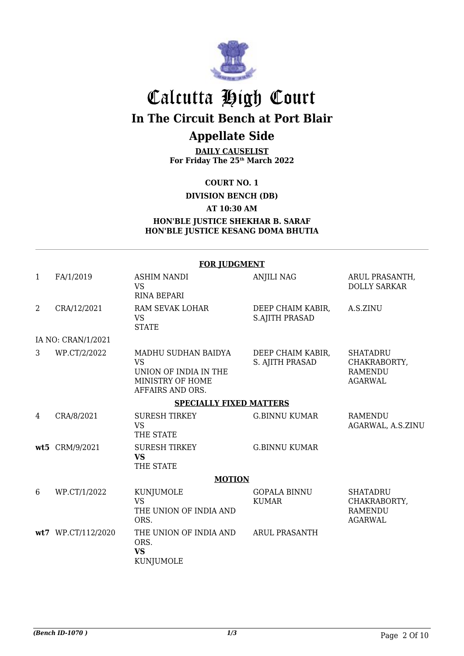

# Calcutta High Court **In The Circuit Bench at Port Blair Appellate Side**

**DAILY CAUSELIST For Friday The 25th March 2022**

**COURT NO. 1**

**DIVISION BENCH (DB)**

**AT 10:30 AM**

### **HON'BLE JUSTICE SHEKHAR B. SARAF HON'BLE JUSTICE KESANG DOMA BHUTIA**

|              | <b>FOR JUDGMENT</b> |                                                                                                   |                                            |                                                                     |  |
|--------------|---------------------|---------------------------------------------------------------------------------------------------|--------------------------------------------|---------------------------------------------------------------------|--|
| $\mathbf{1}$ | FA/1/2019           | <b>ASHIM NANDI</b><br><b>VS</b><br><b>RINA BEPARI</b>                                             | <b>ANJILI NAG</b>                          | ARUL PRASANTH,<br><b>DOLLY SARKAR</b>                               |  |
| 2            | CRA/12/2021         | RAM SEVAK LOHAR<br><b>VS</b><br><b>STATE</b>                                                      | DEEP CHAIM KABIR,<br><b>S.AJITH PRASAD</b> | A.S.ZINU                                                            |  |
|              | IA NO: CRAN/1/2021  |                                                                                                   |                                            |                                                                     |  |
| 3            | WP.CT/2/2022        | MADHU SUDHAN BAIDYA<br><b>VS</b><br>UNION OF INDIA IN THE<br>MINISTRY OF HOME<br>AFFAIRS AND ORS. | DEEP CHAIM KABIR,<br>S. AJITH PRASAD       | <b>SHATADRU</b><br>CHAKRABORTY,<br><b>RAMENDU</b><br><b>AGARWAL</b> |  |
|              |                     | <b>SPECIALLY FIXED MATTERS</b>                                                                    |                                            |                                                                     |  |
| 4            | CRA/8/2021          | <b>SURESH TIRKEY</b><br><b>VS</b><br>THE STATE                                                    | <b>G.BINNU KUMAR</b>                       | <b>RAMENDU</b><br>AGARWAL, A.S.ZINU                                 |  |
|              | wt5 CRM/9/2021      | <b>SURESH TIRKEY</b><br><b>VS</b><br>THE STATE                                                    | <b>G.BINNU KUMAR</b>                       |                                                                     |  |
|              |                     | <b>MOTION</b>                                                                                     |                                            |                                                                     |  |
| 6            | WP.CT/1/2022        | KUNJUMOLE<br><b>VS</b><br>THE UNION OF INDIA AND<br>ORS.                                          | <b>GOPALA BINNU</b><br><b>KUMAR</b>        | <b>SHATADRU</b><br>CHAKRABORTY,<br><b>RAMENDU</b><br><b>AGARWAL</b> |  |
|              | wt7 WP.CT/112/2020  | THE UNION OF INDIA AND<br>ORS.<br><b>VS</b><br>KUNJUMOLE                                          | <b>ARUL PRASANTH</b>                       |                                                                     |  |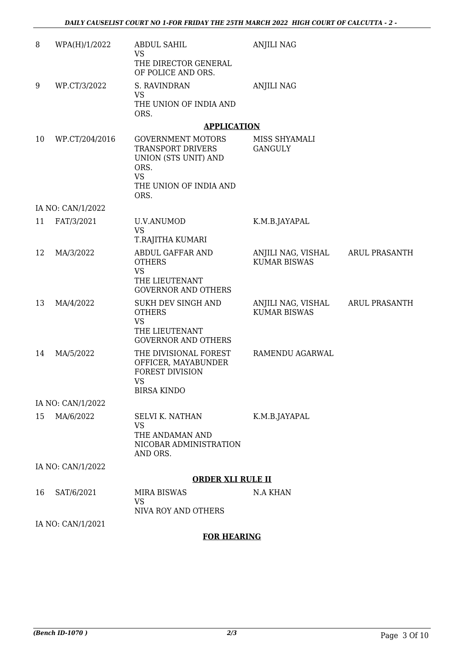| 8  | WPA(H)/1/2022     | <b>ABDUL SAHIL</b><br><b>VS</b>                                                                                              | <b>ANJILI NAG</b>                         |                      |
|----|-------------------|------------------------------------------------------------------------------------------------------------------------------|-------------------------------------------|----------------------|
|    |                   | THE DIRECTOR GENERAL<br>OF POLICE AND ORS.                                                                                   |                                           |                      |
| 9  | WP.CT/3/2022      | S. RAVINDRAN                                                                                                                 | <b>ANJILI NAG</b>                         |                      |
|    |                   | <b>VS</b><br>THE UNION OF INDIA AND<br>ORS.                                                                                  |                                           |                      |
|    |                   | <b>APPLICATION</b>                                                                                                           |                                           |                      |
| 10 | WP.CT/204/2016    | <b>GOVERNMENT MOTORS</b><br>TRANSPORT DRIVERS<br>UNION (STS UNIT) AND<br>ORS.<br><b>VS</b><br>THE UNION OF INDIA AND<br>ORS. | MISS SHYAMALI<br><b>GANGULY</b>           |                      |
|    | IA NO: CAN/1/2022 |                                                                                                                              |                                           |                      |
| 11 | FAT/3/2021        | U.V.ANUMOD<br><b>VS</b><br>T.RAJITHA KUMARI                                                                                  | K.M.B.JAYAPAL                             |                      |
| 12 | MA/3/2022         | ABDUL GAFFAR AND<br><b>OTHERS</b><br><b>VS</b><br>THE LIEUTENANT<br><b>GOVERNOR AND OTHERS</b>                               | ANJILI NAG, VISHAL<br><b>KUMAR BISWAS</b> | <b>ARUL PRASANTH</b> |
| 13 | MA/4/2022         | SUKH DEV SINGH AND<br><b>OTHERS</b><br><b>VS</b><br>THE LIEUTENANT<br><b>GOVERNOR AND OTHERS</b>                             | ANJILI NAG, VISHAL<br><b>KUMAR BISWAS</b> | <b>ARUL PRASANTH</b> |
| 14 | MA/5/2022         | THE DIVISIONAL FOREST<br>OFFICER, MAYABUNDER<br><b>FOREST DIVISION</b><br><b>VS</b><br><b>BIRSA KINDO</b>                    | RAMENDU AGARWAL                           |                      |
|    | IA NO: CAN/1/2022 |                                                                                                                              |                                           |                      |
| 15 | MA/6/2022         | <b>SELVI K. NATHAN</b><br><b>VS</b><br>THE ANDAMAN AND<br>NICOBAR ADMINISTRATION<br>AND ORS.                                 | K.M.B.JAYAPAL                             |                      |
|    | IA NO: CAN/1/2022 |                                                                                                                              |                                           |                      |
|    |                   | <b>ORDER XLI RULE II</b>                                                                                                     |                                           |                      |
| 16 | SAT/6/2021        | <b>MIRA BISWAS</b><br>VS<br>NIVA ROY AND OTHERS                                                                              | <b>N.A KHAN</b>                           |                      |
|    | IA NO: CAN/1/2021 |                                                                                                                              |                                           |                      |
|    |                   | <b>FOR HEARING</b>                                                                                                           |                                           |                      |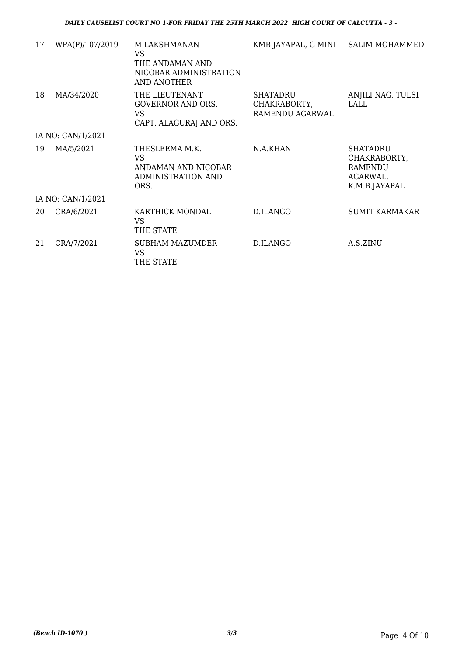| 17 | WPA(P)/107/2019   | M LAKSHMANAN<br><b>VS</b><br>THE ANDAMAN AND<br>NICOBAR ADMINISTRATION<br><b>AND ANOTHER</b> | KMB JAYAPAL, G MINI                         | <b>SALIM MOHAMMED</b>                                                          |
|----|-------------------|----------------------------------------------------------------------------------------------|---------------------------------------------|--------------------------------------------------------------------------------|
| 18 | MA/34/2020        | THE LIEUTENANT<br><b>GOVERNOR AND ORS.</b><br><b>VS</b><br>CAPT. ALAGURAJ AND ORS.           | SHATADRU<br>CHAKRABORTY,<br>RAMENDU AGARWAL | ANJILI NAG, TULSI<br>LALL                                                      |
|    | IA NO: CAN/1/2021 |                                                                                              |                                             |                                                                                |
| 19 | MA/5/2021         | THESLEEMA M.K.<br><b>VS</b><br>ANDAMAN AND NICOBAR<br><b>ADMINISTRATION AND</b><br>ORS.      | N.A.KHAN                                    | <b>SHATADRU</b><br>CHAKRABORTY,<br><b>RAMENDU</b><br>AGARWAL,<br>K.M.B.JAYAPAL |
|    | IA NO: CAN/1/2021 |                                                                                              |                                             |                                                                                |
| 20 | CRA/6/2021        | KARTHICK MONDAL<br><b>VS</b><br>THE STATE                                                    | D.ILANGO                                    | <b>SUMIT KARMAKAR</b>                                                          |
| 21 | CRA/7/2021        | <b>SUBHAM MAZUMDER</b><br>VS.<br>THE STATE                                                   | D.ILANGO                                    | A.S.ZINU                                                                       |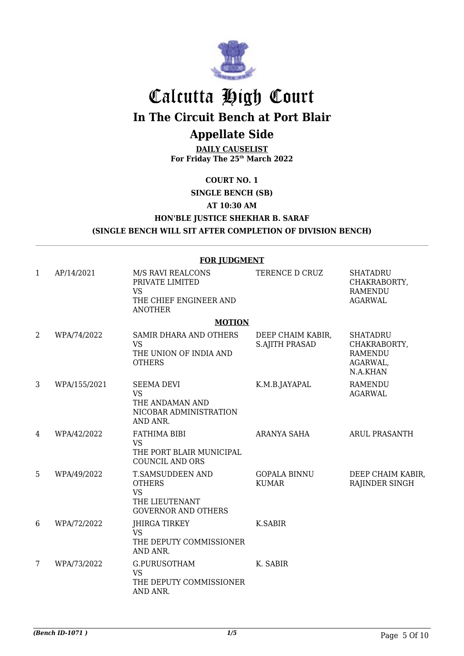

# Calcutta High Court

**In The Circuit Bench at Port Blair**

## **Appellate Side**

**DAILY CAUSELIST For Friday The 25th March 2022**

**COURT NO. 1**

**SINGLE BENCH (SB)**

### **AT 10:30 AM**

### **HON'BLE JUSTICE SHEKHAR B. SARAF (SINGLE BENCH WILL SIT AFTER COMPLETION OF DIVISION BENCH)**

#### **FOR JUDGMENT** 1 AP/14/2021 M/S RAVI REALCONS PRIVATE LIMITED VS THE CHIEF ENGINEER AND ANOTHER TERENCE D CRUZ SHATADRU CHAKRABORTY, RAMENDU AGARWAL **MOTION** 2 WPA/74/2022 SAMIR DHARA AND OTHERS VS THE UNION OF INDIA AND **OTHERS** DEEP CHAIM KABIR, S.AJITH PRASAD SHATADRU CHAKRABORTY, RAMENDU AGARWAL, N.A.KHAN 3 WPA/155/2021 SEEMA DEVI VS THE ANDAMAN AND NICOBAR ADMINISTRATION AND ANR. K.M.B.JAYAPAL RAMENDU AGARWAL 4 WPA/42/2022 FATHIMA BIBI VS THE PORT BLAIR MUNICIPAL COUNCIL AND ORS ARANYA SAHA ARUL PRASANTH 5 WPA/49/2022 T.SAMSUDDEEN AND **OTHERS** VS THE LIEUTENANT GOVERNOR AND OTHERS GOPALA BINNU KUMAR DEEP CHAIM KABIR, RAJINDER SINGH 6 WPA/72/2022 JHIRGA TIRKEY VS THE DEPUTY COMMISSIONER AND ANR. K.SABIR 7 WPA/73/2022 G.PURUSOTHAM VS THE DEPUTY COMMISSIONER AND ANR. K. SABIR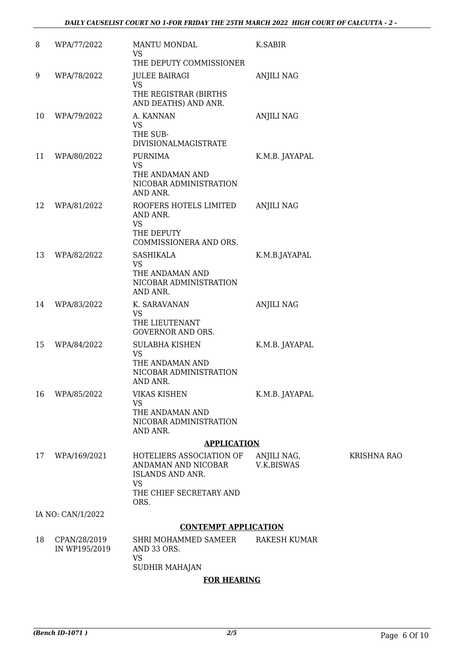| 8  | WPA/77/2022                   | <b>MANTU MONDAL</b><br>VS.<br>THE DEPUTY COMMISSIONER                                                        | K.SABIR                   |                    |
|----|-------------------------------|--------------------------------------------------------------------------------------------------------------|---------------------------|--------------------|
| 9  | WPA/78/2022                   | <b>JULEE BAIRAGI</b><br><b>VS</b><br>THE REGISTRAR (BIRTHS<br>AND DEATHS) AND ANR.                           | <b>ANJILI NAG</b>         |                    |
| 10 | WPA/79/2022                   | A. KANNAN<br><b>VS</b><br>THE SUB-<br><b>DIVISIONALMAGISTRATE</b>                                            | <b>ANJILI NAG</b>         |                    |
| 11 | WPA/80/2022                   | <b>PURNIMA</b><br><b>VS</b><br>THE ANDAMAN AND<br>NICOBAR ADMINISTRATION<br>AND ANR.                         | K.M.B. JAYAPAL            |                    |
| 12 | WPA/81/2022                   | ROOFERS HOTELS LIMITED<br>AND ANR.<br><b>VS</b><br>THE DEPUTY<br>COMMISSIONERA AND ORS.                      | <b>ANJILI NAG</b>         |                    |
| 13 | WPA/82/2022                   | <b>SASHIKALA</b><br>VS<br>THE ANDAMAN AND<br>NICOBAR ADMINISTRATION<br>AND ANR.                              | K.M.B.JAYAPAL             |                    |
| 14 | WPA/83/2022                   | K. SARAVANAN<br><b>VS</b><br>THE LIEUTENANT<br><b>GOVERNOR AND ORS.</b>                                      | <b>ANJILI NAG</b>         |                    |
| 15 | WPA/84/2022                   | SULABHA KISHEN<br><b>VS</b><br>THE ANDAMAN AND<br>NICOBAR ADMINISTRATION<br>AND ANR.                         | K.M.B. JAYAPAL            |                    |
| 16 | WPA/85/2022                   | <b>VIKAS KISHEN</b><br><b>VS</b><br>THE ANDAMAN AND<br>NICOBAR ADMINISTRATION<br>AND ANR.                    | K.M.B. JAYAPAL            |                    |
|    |                               | <b>APPLICATION</b>                                                                                           |                           |                    |
| 17 | WPA/169/2021                  | HOTELIERS ASSOCIATION OF<br>ANDAMAN AND NICOBAR<br>ISLANDS AND ANR.<br>VS<br>THE CHIEF SECRETARY AND<br>ORS. | ANJILI NAG,<br>V.K.BISWAS | <b>KRISHNA RAO</b> |
|    | IA NO: CAN/1/2022             |                                                                                                              |                           |                    |
|    |                               | <b>CONTEMPT APPLICATION</b>                                                                                  |                           |                    |
| 18 | CPAN/28/2019<br>IN WP195/2019 | <b>SHRI MOHAMMED SAMEER</b><br>AND 33 ORS.<br>VS<br><b>SUDHIR MAHAJAN</b>                                    | <b>RAKESH KUMAR</b>       |                    |

### **FOR HEARING**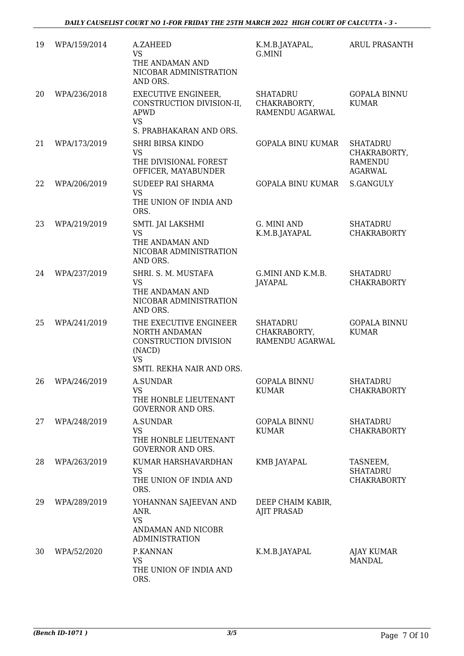| 19 | WPA/159/2014 | A.ZAHEED<br>VS<br>THE ANDAMAN AND<br>NICOBAR ADMINISTRATION<br>AND ORS.                                              | K.M.B.JAYAPAL,<br>G.MINI                           | ARUL PRASANTH                                                       |
|----|--------------|----------------------------------------------------------------------------------------------------------------------|----------------------------------------------------|---------------------------------------------------------------------|
| 20 | WPA/236/2018 | <b>EXECUTIVE ENGINEER,</b><br>CONSTRUCTION DIVISION-II,<br>APWD<br><b>VS</b><br>S. PRABHAKARAN AND ORS.              | <b>SHATADRU</b><br>CHAKRABORTY,<br>RAMENDU AGARWAL | <b>GOPALA BINNU</b><br><b>KUMAR</b>                                 |
| 21 | WPA/173/2019 | <b>SHRI BIRSA KINDO</b><br><b>VS</b><br>THE DIVISIONAL FOREST<br>OFFICER, MAYABUNDER                                 | <b>GOPALA BINU KUMAR</b>                           | <b>SHATADRU</b><br>CHAKRABORTY,<br><b>RAMENDU</b><br><b>AGARWAL</b> |
| 22 | WPA/206/2019 | SUDEEP RAI SHARMA<br><b>VS</b><br>THE UNION OF INDIA AND<br>ORS.                                                     | GOPALA BINU KUMAR                                  | S.GANGULY                                                           |
| 23 | WPA/219/2019 | SMTI. JAI LAKSHMI<br><b>VS</b><br>THE ANDAMAN AND<br>NICOBAR ADMINISTRATION<br>AND ORS.                              | G. MINI AND<br>K.M.B.JAYAPAL                       | <b>SHATADRU</b><br><b>CHAKRABORTY</b>                               |
| 24 | WPA/237/2019 | SHRI. S. M. MUSTAFA<br><b>VS</b><br>THE ANDAMAN AND<br>NICOBAR ADMINISTRATION<br>AND ORS.                            | G.MINI AND K.M.B.<br>JAYAPAL                       | <b>SHATADRU</b><br><b>CHAKRABORTY</b>                               |
| 25 | WPA/241/2019 | THE EXECUTIVE ENGINEER<br>NORTH ANDAMAN<br>CONSTRUCTION DIVISION<br>(NACD)<br><b>VS</b><br>SMTI. REKHA NAIR AND ORS. | <b>SHATADRU</b><br>CHAKRABORTY,<br>RAMENDU AGARWAL | <b>GOPALA BINNU</b><br><b>KUMAR</b>                                 |
| 26 | WPA/246/2019 | <b>A.SUNDAR</b><br>VS<br>THE HONBLE LIEUTENANT<br><b>GOVERNOR AND ORS.</b>                                           | <b>GOPALA BINNU</b><br><b>KUMAR</b>                | <b>SHATADRU</b><br><b>CHAKRABORTY</b>                               |
| 27 | WPA/248/2019 | <b>A.SUNDAR</b><br><b>VS</b><br>THE HONBLE LIEUTENANT<br><b>GOVERNOR AND ORS.</b>                                    | <b>GOPALA BINNU</b><br><b>KUMAR</b>                | <b>SHATADRU</b><br><b>CHAKRABORTY</b>                               |
| 28 | WPA/263/2019 | KUMAR HARSHAVARDHAN<br><b>VS</b><br>THE UNION OF INDIA AND<br>ORS.                                                   | KMB JAYAPAL                                        | TASNEEM,<br><b>SHATADRU</b><br><b>CHAKRABORTY</b>                   |
| 29 | WPA/289/2019 | YOHANNAN SAJEEVAN AND<br>ANR.<br><b>VS</b><br>ANDAMAN AND NICOBR<br><b>ADMINISTRATION</b>                            | DEEP CHAIM KABIR,<br><b>AJIT PRASAD</b>            |                                                                     |
| 30 | WPA/52/2020  | P.KANNAN<br><b>VS</b><br>THE UNION OF INDIA AND<br>ORS.                                                              | K.M.B.JAYAPAL                                      | <b>AJAY KUMAR</b><br><b>MANDAL</b>                                  |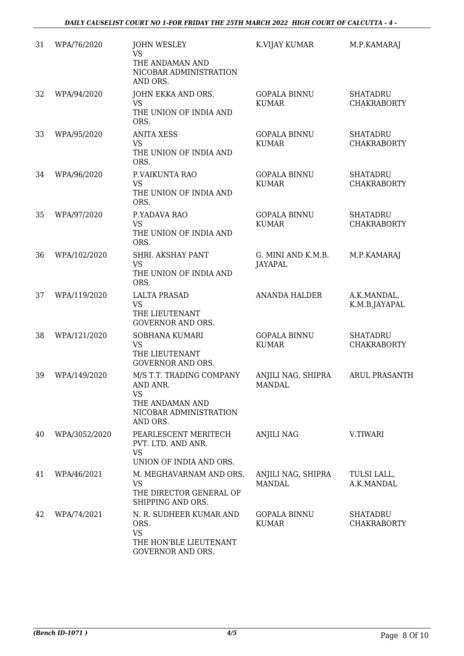| 31 | WPA/76/2020   | <b>JOHN WESLEY</b><br>VS<br>THE ANDAMAN AND<br>NICOBAR ADMINISTRATION<br>AND ORS.                   | K.VIJAY KUMAR                        | M.P.KAMARAJ                           |
|----|---------------|-----------------------------------------------------------------------------------------------------|--------------------------------------|---------------------------------------|
| 32 | WPA/94/2020   | JOHN EKKA AND ORS.<br><b>VS</b><br>THE UNION OF INDIA AND<br>ORS.                                   | <b>GOPALA BINNU</b><br><b>KUMAR</b>  | <b>SHATADRU</b><br><b>CHAKRABORTY</b> |
| 33 | WPA/95/2020   | <b>ANITA XESS</b><br><b>VS</b><br>THE UNION OF INDIA AND<br>ORS.                                    | <b>GOPALA BINNU</b><br><b>KUMAR</b>  | <b>SHATADRU</b><br><b>CHAKRABORTY</b> |
| 34 | WPA/96/2020   | P.VAIKUNTA RAO<br><b>VS</b><br>THE UNION OF INDIA AND<br>ORS.                                       | <b>GOPALA BINNU</b><br><b>KUMAR</b>  | <b>SHATADRU</b><br><b>CHAKRABORTY</b> |
| 35 | WPA/97/2020   | P.YADAVA RAO<br><b>VS</b><br>THE UNION OF INDIA AND<br>ORS.                                         | <b>GOPALA BINNU</b><br><b>KUMAR</b>  | <b>SHATADRU</b><br><b>CHAKRABORTY</b> |
| 36 | WPA/102/2020  | SHRI. AKSHAY PANT<br>VS<br>THE UNION OF INDIA AND<br>ORS.                                           | G. MINI AND K.M.B.<br><b>JAYAPAL</b> | M.P.KAMARAJ                           |
| 37 | WPA/119/2020  | <b>LALTA PRASAD</b><br><b>VS</b><br>THE LIEUTENANT<br><b>GOVERNOR AND ORS.</b>                      | <b>ANANDA HALDER</b>                 | A.K.MANDAL,<br>K.M.B.JAYAPAL          |
| 38 | WPA/121/2020  | SOBHANA KUMARI<br><b>VS</b><br>THE LIEUTENANT<br><b>GOVERNOR AND ORS.</b>                           | <b>GOPALA BINNU</b><br><b>KUMAR</b>  | <b>SHATADRU</b><br><b>CHAKRABORTY</b> |
| 39 | WPA/149/2020  | M/S T.T. TRADING COMPANY<br>AND ANR.<br>VS<br>THE ANDAMAN AND<br>NICOBAR ADMINISTRATION<br>AND ORS. | ANJILI NAG, SHIPRA<br>MANDAL         | <b>ARUL PRASANTH</b>                  |
| 40 | WPA/3052/2020 | PEARLESCENT MERITECH<br>PVT. LTD. AND ANR.<br><b>VS</b><br>UNION OF INDIA AND ORS.                  | <b>ANJILI NAG</b>                    | V.TIWARI                              |
| 41 | WPA/46/2021   | M. MEGHAVARNAM AND ORS.<br>VS<br>THE DIRECTOR GENERAL OF<br>SHIPPING AND ORS.                       | ANJILI NAG, SHIPRA<br><b>MANDAL</b>  | TULSI LALL,<br>A.K.MANDAL             |
| 42 | WPA/74/2021   | N. R. SUDHEER KUMAR AND<br>ORS.<br><b>VS</b><br>THE HON'BLE LIEUTENANT<br><b>GOVERNOR AND ORS.</b>  | <b>GOPALA BINNU</b><br><b>KUMAR</b>  | <b>SHATADRU</b><br><b>CHAKRABORTY</b> |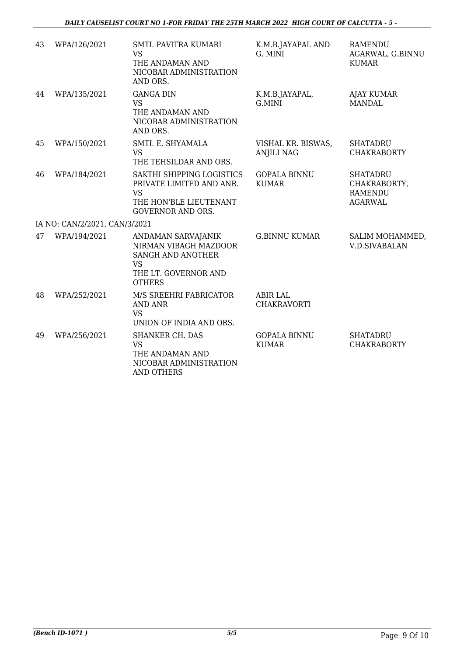| 43 | WPA/126/2021                  | SMTI. PAVITRA KUMARI<br><b>VS</b><br>THE ANDAMAN AND<br>NICOBAR ADMINISTRATION<br>AND ORS.                               | K.M.B.JAYAPAL AND<br>G. MINI            | <b>RAMENDU</b><br>AGARWAL, G.BINNU<br><b>KUMAR</b>                  |
|----|-------------------------------|--------------------------------------------------------------------------------------------------------------------------|-----------------------------------------|---------------------------------------------------------------------|
| 44 | WPA/135/2021                  | <b>GANGA DIN</b><br><b>VS</b><br>THE ANDAMAN AND<br>NICOBAR ADMINISTRATION<br>AND ORS.                                   | K.M.B.JAYAPAL,<br>G.MINI                | <b>AJAY KUMAR</b><br><b>MANDAL</b>                                  |
| 45 | WPA/150/2021                  | SMTI. E. SHYAMALA<br><b>VS</b><br>THE TEHSILDAR AND ORS.                                                                 | VISHAL KR. BISWAS,<br><b>ANJILI NAG</b> | <b>SHATADRU</b><br><b>CHAKRABORTY</b>                               |
| 46 | WPA/184/2021                  | SAKTHI SHIPPING LOGISTICS<br>PRIVATE LIMITED AND ANR.<br><b>VS</b><br>THE HON'BLE LIEUTENANT<br><b>GOVERNOR AND ORS.</b> | <b>GOPALA BINNU</b><br><b>KUMAR</b>     | <b>SHATADRU</b><br>CHAKRABORTY,<br><b>RAMENDU</b><br><b>AGARWAL</b> |
|    | IA NO: CAN/2/2021, CAN/3/2021 |                                                                                                                          |                                         |                                                                     |
| 47 | WPA/194/2021                  | ANDAMAN SARVAJANIK<br>NIRMAN VIBAGH MAZDOOR<br>SANGH AND ANOTHER<br><b>VS</b><br>THE LT. GOVERNOR AND<br><b>OTHERS</b>   | <b>G.BINNU KUMAR</b>                    | SALIM MOHAMMED,<br><b>V.D.SIVABALAN</b>                             |
| 48 | WPA/252/2021                  | M/S SREEHRI FABRICATOR<br><b>AND ANR</b><br><b>VS</b><br>UNION OF INDIA AND ORS.                                         | <b>ABIR LAL</b><br><b>CHAKRAVORTI</b>   |                                                                     |
| 49 | WPA/256/2021                  | <b>SHANKER CH. DAS</b><br><b>VS</b><br>THE ANDAMAN AND<br>NICOBAR ADMINISTRATION<br><b>AND OTHERS</b>                    | <b>GOPALA BINNU</b><br><b>KUMAR</b>     | <b>SHATADRU</b><br><b>CHAKRABORTY</b>                               |